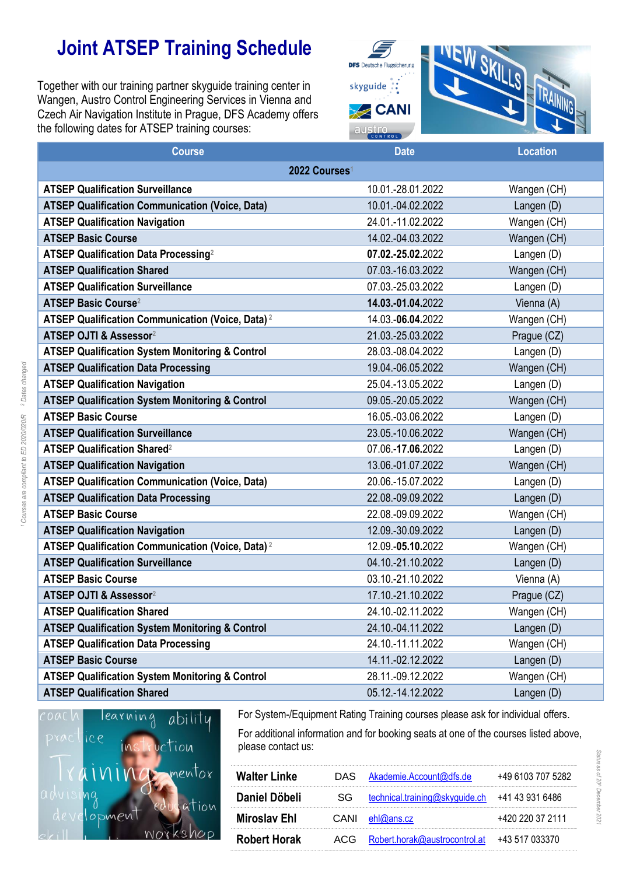## **Joint ATSEP Training Schedule**

Together with our training partner skyguide training center in Wangen, Austro Control Engineering Services in Vienna and Czech Air Navigation Institute in Prague, DFS Academy offers the following dates for ATSEP training courses:



| <b>Course</b>                                                | <b>Date</b>         | <b>Location</b> |  |  |  |
|--------------------------------------------------------------|---------------------|-----------------|--|--|--|
| 2022 Courses <sup>1</sup>                                    |                     |                 |  |  |  |
| <b>ATSEP Qualification Surveillance</b>                      | 10.01.-28.01.2022   | Wangen (CH)     |  |  |  |
| <b>ATSEP Qualification Communication (Voice, Data)</b>       | 10.01.-04.02.2022   | Langen (D)      |  |  |  |
| <b>ATSEP Qualification Navigation</b>                        | 24.01.-11.02.2022   | Wangen (CH)     |  |  |  |
| <b>ATSEP Basic Course</b>                                    | 14.02.-04.03.2022   | Wangen (CH)     |  |  |  |
| ATSEP Qualification Data Processing <sup>2</sup>             | 07.02.-25.02.2022   | Langen (D)      |  |  |  |
| <b>ATSEP Qualification Shared</b>                            | 07.03.-16.03.2022   | Wangen (CH)     |  |  |  |
| <b>ATSEP Qualification Surveillance</b>                      | 07.03.-25.03.2022   | Langen (D)      |  |  |  |
| <b>ATSEP Basic Course<sup>2</sup></b>                        | 14.03.-01.04.2022   | Vienna (A)      |  |  |  |
| ATSEP Qualification Communication (Voice, Data) <sup>2</sup> | 14.03.-06.04.2022   | Wangen (CH)     |  |  |  |
| ATSEP OJTI & Assessor <sup>2</sup>                           | 21.03.-25.03.2022   | Prague (CZ)     |  |  |  |
| <b>ATSEP Qualification System Monitoring &amp; Control</b>   | 28.03.-08.04.2022   | Langen (D)      |  |  |  |
| <b>ATSEP Qualification Data Processing</b>                   | 19.04.-06.05.2022   | Wangen (CH)     |  |  |  |
| <b>ATSEP Qualification Navigation</b>                        | 25.04.-13.05.2022   | Langen (D)      |  |  |  |
| <b>ATSEP Qualification System Monitoring &amp; Control</b>   | 09.05.-20.05.2022   | Wangen (CH)     |  |  |  |
| <b>ATSEP Basic Course</b>                                    | 16.05.-03.06.2022   | Langen (D)      |  |  |  |
| <b>ATSEP Qualification Surveillance</b>                      | 23.05.-10.06.2022   | Wangen (CH)     |  |  |  |
| ATSEP Qualification Shared <sup>2</sup>                      | 07.06.-17.06.2022   | Langen (D)      |  |  |  |
| <b>ATSEP Qualification Navigation</b>                        | 13.06.-01.07.2022   | Wangen (CH)     |  |  |  |
| <b>ATSEP Qualification Communication (Voice, Data)</b>       | 20.06.-15.07.2022   | Langen (D)      |  |  |  |
| <b>ATSEP Qualification Data Processing</b>                   | 22.08.-09.09.2022   | Langen (D)      |  |  |  |
| <b>ATSEP Basic Course</b>                                    | 22.08.-09.09.2022   | Wangen (CH)     |  |  |  |
| <b>ATSEP Qualification Navigation</b>                        | 12.09.-30.09.2022   | Langen (D)      |  |  |  |
| ATSEP Qualification Communication (Voice, Data) <sup>2</sup> | 12.09. - 05.10.2022 | Wangen (CH)     |  |  |  |
| <b>ATSEP Qualification Surveillance</b>                      | 04.10.-21.10.2022   | Langen (D)      |  |  |  |
| <b>ATSEP Basic Course</b>                                    | 03.10.-21.10.2022   | Vienna (A)      |  |  |  |
| ATSEP OJTI & Assessor <sup>2</sup>                           | 17.10.-21.10.2022   | Prague (CZ)     |  |  |  |
| <b>ATSEP Qualification Shared</b>                            | 24.10.-02.11.2022   | Wangen (CH)     |  |  |  |
| <b>ATSEP Qualification System Monitoring &amp; Control</b>   | 24.10.-04.11.2022   | Langen (D)      |  |  |  |
| <b>ATSEP Qualification Data Processing</b>                   | 24.10.-11.11.2022   | Wangen (CH)     |  |  |  |
| <b>ATSEP Basic Course</b>                                    | 14.11.-02.12.2022   | Langen (D)      |  |  |  |
| <b>ATSEP Qualification System Monitoring &amp; Control</b>   | 28.11.-09.12.2022   | Wangen (CH)     |  |  |  |
| <b>ATSEP Qualification Shared</b>                            | 05.12.-14.12.2022   | Langen (D)      |  |  |  |



For System-/Equipment Rating Training courses please ask for individual offers. For additional information and for booking seats at one of the courses listed above, please contact us:

| <b>Walter Linke</b> |    | DAS Akademie.Account@dfs.de                      | +49 6103 707 5282 |
|---------------------|----|--------------------------------------------------|-------------------|
| Daniel Döbeli       | SG | technical.training@skyguide.ch +41 43 931 6486   |                   |
| <b>Miroslav Ehl</b> |    | $CANI$ ehl@ans.cz                                | +420 220 37 2111  |
| <b>Robert Horak</b> |    | ACG Robert.horak@austrocontrol.at +43 517 033370 |                   |